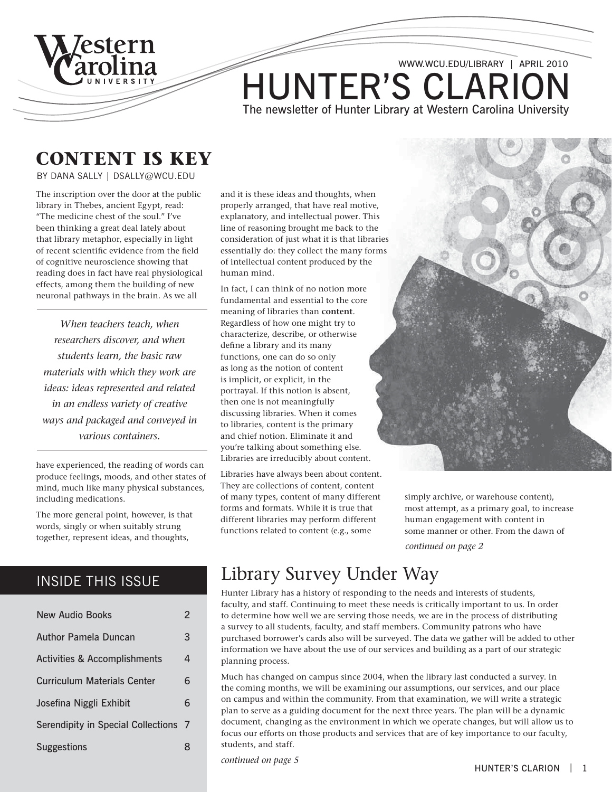

### **content is Key**

By Dana Sally | dsally@wcu.edu

The inscription over the door at the public library in Thebes, ancient Egypt, read: "The medicine chest of the soul." I've been thinking a great deal lately about that library metaphor, especially in light of recent scientific evidence from the field of cognitive neuroscience showing that reading does in fact have real physiological effects, among them the building of new neuronal pathways in the brain. As we all

*When teachers teach, when researchers discover, and when students learn, the basic raw materials with which they work are ideas: ideas represented and related in an endless variety of creative ways and packaged and conveyed in various containers.*

have experienced, the reading of words can produce feelings, moods, and other states of mind, much like many physical substances, including medications.

The more general point, however, is that words, singly or when suitably strung together, represent ideas, and thoughts,

### INSIDE THIS ISSUE

| New Audio Books                         | 2 |
|-----------------------------------------|---|
| Author Pamela Duncan                    | 3 |
| <b>Activities &amp; Accomplishments</b> | 4 |
| <b>Curriculum Materials Center</b>      | 6 |
| Josefina Niggli Exhibit                 | 6 |
| Serendipity in Special Collections 7    |   |
| <b>Suggestions</b>                      | 8 |

and it is these ideas and thoughts, when properly arranged, that have real motive, explanatory, and intellectual power. This line of reasoning brought me back to the consideration of just what it is that libraries essentially do: they collect the many forms of intellectual content produced by the human mind.

In fact, I can think of no notion more fundamental and essential to the core meaning of libraries than **content**. Regardless of how one might try to characterize, describe, or otherwise define a library and its many functions, one can do so only as long as the notion of content is implicit, or explicit, in the portrayal. If this notion is absent, then one is not meaningfully discussing libraries. When it comes to libraries, content is the primary and chief notion. Eliminate it and you're talking about something else. Libraries are irreducibly about content.

Libraries have always been about content. They are collections of content, content of many types, content of many different forms and formats. While it is true that different libraries may perform different functions related to content (e.g., some



*continued on page 2* simply archive, or warehouse content), most attempt, as a primary goal, to increase human engagement with content in some manner or other. From the dawn of

## Library Survey Under Way

Hunter Library has a history of responding to the needs and interests of students, faculty, and staff. Continuing to meet these needs is critically important to us. In order to determine how well we are serving those needs, we are in the process of distributing a survey to all students, faculty, and staff members. Community patrons who have purchased borrower's cards also will be surveyed. The data we gather will be added to other information we have about the use of our services and building as a part of our strategic planning process.

Much has changed on campus since 2004, when the library last conducted a survey. In the coming months, we will be examining our assumptions, our services, and our place on campus and within the community. From that examination, we will write a strategic plan to serve as a guiding document for the next three years. The plan will be a dynamic document, changing as the environment in which we operate changes, but will allow us to focus our efforts on those products and services that are of key importance to our faculty, students, and staff.

*continued on page 5*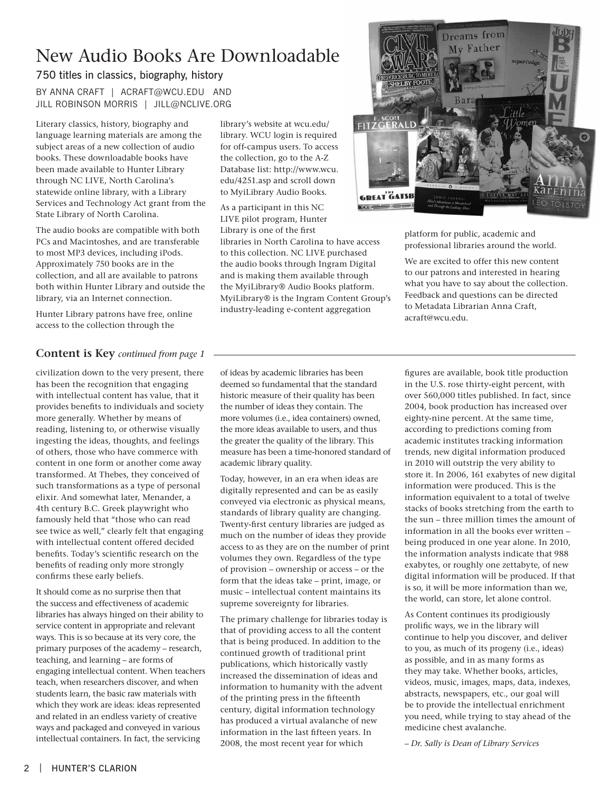# New Audio Books Are Downloadable

### 750 titles in classics, biography, history

By Anna Craft | acraft@wcu.edu and JILL ROBINSON MORRIS | JILL@NCLIVE.ORG

Literary classics, history, biography and language learning materials are among the subject areas of a new collection of audio books. These downloadable books have been made available to Hunter Library through NC LIVE, North Carolina's statewide online library, with a Library Services and Technology Act grant from the State Library of North Carolina.

The audio books are compatible with both PCs and Macintoshes, and are transferable to most MP3 devices, including iPods. Approximately 750 books are in the collection, and all are available to patrons both within Hunter Library and outside the library, via an Internet connection.

Hunter Library patrons have free, online access to the collection through the

### **Content is Key** *continued from page 1*

civilization down to the very present, there has been the recognition that engaging with intellectual content has value, that it provides benefits to individuals and society more generally. Whether by means of reading, listening to, or otherwise visually ingesting the ideas, thoughts, and feelings of others, those who have commerce with content in one form or another come away transformed. At Thebes, they conceived of such transformations as a type of personal elixir. And somewhat later, Menander, a 4th century B.C. Greek playwright who famously held that "those who can read see twice as well," clearly felt that engaging with intellectual content offered decided benefits. Today's scientific research on the benefits of reading only more strongly confirms these early beliefs.

It should come as no surprise then that the success and effectiveness of academic libraries has always hinged on their ability to service content in appropriate and relevant ways. This is so because at its very core, the primary purposes of the academy – research, teaching, and learning – are forms of engaging intellectual content. When teachers teach, when researchers discover, and when students learn, the basic raw materials with which they work are ideas: ideas represented and related in an endless variety of creative ways and packaged and conveyed in various intellectual containers. In fact, the servicing

library's website at wcu.edu/ library. WCU login is required for off-campus users. To access the collection, go to the A-Z Database list: http://www.wcu. edu/4251.asp and scroll down to MyiLibrary Audio Books.

As a participant in this NC LIVE pilot program, Hunter Library is one of the first libraries in North Carolina to have access to this collection. NC LIVE purchased the audio books through Ingram Digital and is making them available through the MyiLibrary® Audio Books platform. MyiLibrary® is the Ingram Content Group's industry-leading e-content aggregation



platform for public, academic and professional libraries around the world.

We are excited to offer this new content to our patrons and interested in hearing what you have to say about the collection. Feedback and questions can be directed to Metadata Librarian Anna Craft, acraft@wcu.edu.

of ideas by academic libraries has been deemed so fundamental that the standard historic measure of their quality has been the number of ideas they contain. The more volumes (i.e., idea containers) owned, the more ideas available to users, and thus the greater the quality of the library. This measure has been a time-honored standard of academic library quality.

Today, however, in an era when ideas are digitally represented and can be as easily conveyed via electronic as physical means, standards of library quality are changing. Twenty-first century libraries are judged as much on the number of ideas they provide access to as they are on the number of print volumes they own. Regardless of the type of provision – ownership or access – or the form that the ideas take – print, image, or music – intellectual content maintains its supreme sovereignty for libraries.

The primary challenge for libraries today is that of providing access to all the content that is being produced. In addition to the continued growth of traditional print publications, which historically vastly increased the dissemination of ideas and information to humanity with the advent of the printing press in the fifteenth century, digital information technology has produced a virtual avalanche of new information in the last fifteen years. In 2008, the most recent year for which

figures are available, book title production in the U.S. rose thirty-eight percent, with over 560,000 titles published. In fact, since 2004, book production has increased over eighty-nine percent. At the same time, according to predictions coming from academic institutes tracking information trends, new digital information produced in 2010 will outstrip the very ability to store it. In 2006, 161 exabytes of new digital information were produced. This is the information equivalent to a total of twelve stacks of books stretching from the earth to the sun – three million times the amount of information in all the books ever written – being produced in one year alone. In 2010, the information analysts indicate that 988 exabytes, or roughly one zettabyte, of new digital information will be produced. If that is so, it will be more information than we, the world, can store, let alone control.

As Content continues its prodigiously prolific ways, we in the library will continue to help you discover, and deliver to you, as much of its progeny (i.e., ideas) as possible, and in as many forms as they may take. Whether books, articles, videos, music, images, maps, data, indexes, abstracts, newspapers, etc., our goal will be to provide the intellectual enrichment you need, while trying to stay ahead of the medicine chest avalanche.

*– Dr. Sally is Dean of Library Services*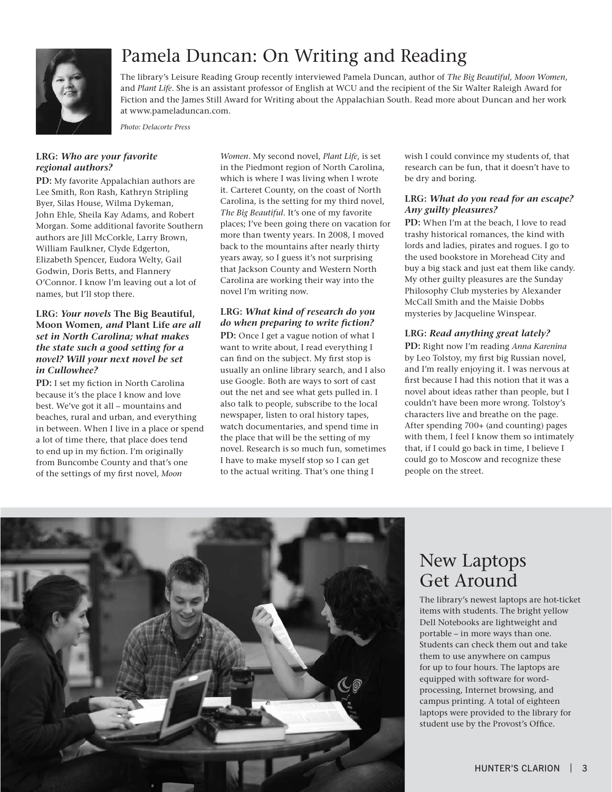

# Pamela Duncan: On Writing and Reading

The library's Leisure Reading Group recently interviewed Pamela Duncan, author of *The Big Beautiful, Moon Women*, and *Plant Life*. She is an assistant professor of English at WCU and the recipient of the Sir Walter Raleigh Award for Fiction and the James Still Award for Writing about the Appalachian South. Read more about Duncan and her work at www.pameladuncan.com.

*Photo: Delacorte Press*

### **LRG:** *Who are your favorite regional authors?*

**PD:** My favorite Appalachian authors are Lee Smith, Ron Rash, Kathryn Stripling Byer, Silas House, Wilma Dykeman, John Ehle, Sheila Kay Adams, and Robert Morgan. Some additional favorite Southern authors are Jill McCorkle, Larry Brown, William Faulkner, Clyde Edgerton, Elizabeth Spencer, Eudora Welty, Gail Godwin, Doris Betts, and Flannery O'Connor. I know I'm leaving out a lot of names, but I'll stop there.

#### **LRG:** *Your novels* **The Big Beautiful, Moon Women***, and* **Plant Life** *are all set in North Carolina; what makes the state such a good setting for a novel? Will your next novel be set in Cullowhee?*

**PD:** I set my fiction in North Carolina because it's the place I know and love best. We've got it all – mountains and beaches, rural and urban, and everything in between. When I live in a place or spend a lot of time there, that place does tend to end up in my fiction. I'm originally from Buncombe County and that's one of the settings of my first novel, *Moon* 

*Women*. My second novel, *Plant Life*, is set in the Piedmont region of North Carolina, which is where I was living when I wrote it. Carteret County, on the coast of North Carolina, is the setting for my third novel, *The Big Beautiful*. It's one of my favorite places; I've been going there on vacation for more than twenty years. In 2008, I moved back to the mountains after nearly thirty years away, so I guess it's not surprising that Jackson County and Western North Carolina are working their way into the novel I'm writing now.

### **LRG:** *What kind of research do you do when preparing to write fiction?*

**PD:** Once I get a vague notion of what I want to write about, I read everything I can find on the subject. My first stop is usually an online library search, and I also use Google. Both are ways to sort of cast out the net and see what gets pulled in. I also talk to people, subscribe to the local newspaper, listen to oral history tapes, watch documentaries, and spend time in the place that will be the setting of my novel. Research is so much fun, sometimes I have to make myself stop so I can get to the actual writing. That's one thing I

wish I could convince my students of, that research can be fun, that it doesn't have to be dry and boring.

### **LRG:** *What do you read for an escape? Any guilty pleasures?*

**PD:** When I'm at the beach, I love to read trashy historical romances, the kind with lords and ladies, pirates and rogues. I go to the used bookstore in Morehead City and buy a big stack and just eat them like candy. My other guilty pleasures are the Sunday Philosophy Club mysteries by Alexander McCall Smith and the Maisie Dobbs mysteries by Jacqueline Winspear.

### **LRG:** *Read anything great lately?*

**PD:** Right now I'm reading *Anna Karenina* by Leo Tolstoy, my first big Russian novel, and I'm really enjoying it. I was nervous at first because I had this notion that it was a novel about ideas rather than people, but I couldn't have been more wrong. Tolstoy's characters live and breathe on the page. After spending 700+ (and counting) pages with them, I feel I know them so intimately that, if I could go back in time, I believe I could go to Moscow and recognize these people on the street.



## New Laptops Get Around

The library's newest laptops are hot-ticket items with students. The bright yellow Dell Notebooks are lightweight and portable – in more ways than one. Students can check them out and take them to use anywhere on campus for up to four hours. The laptops are equipped with software for wordprocessing, Internet browsing, and campus printing. A total of eighteen laptops were provided to the library for student use by the Provost's Office.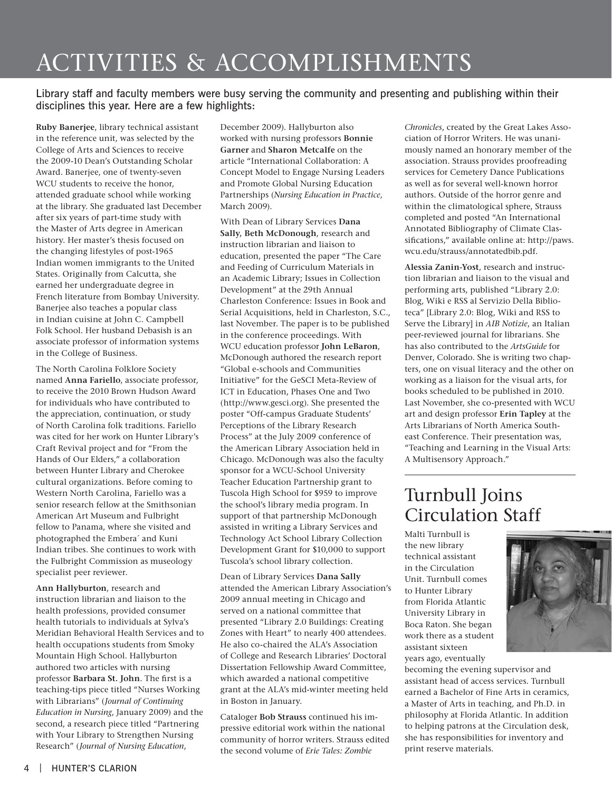# Activities & Accomplishments

### Library staff and faculty members were busy serving the community and presenting and publishing within their disciplines this year. Here are a few highlights:

**Ruby Banerjee**, library technical assistant in the reference unit, was selected by the College of Arts and Sciences to receive the 2009-10 Dean's Outstanding Scholar Award. Banerjee, one of twenty-seven WCU students to receive the honor, attended graduate school while working at the library. She graduated last December after six years of part-time study with the Master of Arts degree in American history. Her master's thesis focused on the changing lifestyles of post-1965 Indian women immigrants to the United States. Originally from Calcutta, she earned her undergraduate degree in French literature from Bombay University. Banerjee also teaches a popular class in Indian cuisine at John C. Campbell Folk School. Her husband Debasish is an associate professor of information systems in the College of Business.

The North Carolina Folklore Society named **Anna Fariello**, associate professor, to receive the 2010 Brown Hudson Award for individuals who have contributed to the appreciation, continuation, or study of North Carolina folk traditions. Fariello was cited for her work on Hunter Library's Craft Revival project and for "From the Hands of Our Elders," a collaboration between Hunter Library and Cherokee cultural organizations. Before coming to Western North Carolina, Fariello was a senior research fellow at the Smithsonian American Art Museum and Fulbright fellow to Panama, where she visited and photographed the Embera´ and Kuni Indian tribes. She continues to work with the Fulbright Commission as museology specialist peer reviewer.

**Ann Hallyburton**, research and instruction librarian and liaison to the health professions, provided consumer health tutorials to individuals at Sylva's Meridian Behavioral Health Services and to health occupations students from Smoky Mountain High School. Hallyburton authored two articles with nursing professor **Barbara St. John**. The first is a teaching-tips piece titled "Nurses Working with Librarians" (*Journal of Continuing Education in Nursing*, January 2009) and the second, a research piece titled "Partnering with Your Library to Strengthen Nursing Research" (*Journal of Nursing Education*,

December 2009). Hallyburton also worked with nursing professors **Bonnie Garner** and **Sharon Metcalfe** on the article "International Collaboration: A Concept Model to Engage Nursing Leaders and Promote Global Nursing Education Partnerships (*Nursing Education in Practice*, March 2009).

With Dean of Library Services **Dana Sally, Beth McDonough**, research and instruction librarian and liaison to education, presented the paper "The Care and Feeding of Curriculum Materials in an Academic Library; Issues in Collection Development" at the 29th Annual Charleston Conference: Issues in Book and Serial Acquisitions, held in Charleston, S.C., last November. The paper is to be published in the conference proceedings. With WCU education professor **John LeBaron**, McDonough authored the research report "Global e-schools and Communities Initiative" for the GeSCI Meta-Review of ICT in Education, Phases One and Two (http://www.gesci.org). She presented the poster "Off-campus Graduate Students' Perceptions of the Library Research Process" at the July 2009 conference of the American Library Association held in Chicago. McDonough was also the faculty sponsor for a WCU-School University Teacher Education Partnership grant to Tuscola High School for \$959 to improve the school's library media program. In support of that partnership McDonough assisted in writing a Library Services and Technology Act School Library Collection Development Grant for \$10,000 to support Tuscola's school library collection.

Dean of Library Services **Dana Sally** attended the American Library Association's 2009 annual meeting in Chicago and served on a national committee that presented "Library 2.0 Buildings: Creating Zones with Heart" to nearly 400 attendees. He also co-chaired the ALA's Association of College and Research Libraries' Doctoral Dissertation Fellowship Award Committee, which awarded a national competitive grant at the ALA's mid-winter meeting held in Boston in January.

Cataloger **Bob Strauss** continued his impressive editorial work within the national community of horror writers. Strauss edited the second volume of *Erie Tales: Zombie* 

*Chronicles*, created by the Great Lakes Association of Horror Writers. He was unanimously named an honorary member of the association. Strauss provides proofreading services for Cemetery Dance Publications as well as for several well-known horror authors. Outside of the horror genre and within the climatological sphere, Strauss completed and posted "An International Annotated Bibliography of Climate Classifications," available online at: http://paws. wcu.edu/strauss/annotatedbib.pdf.

**Alessia Zanin-Yost**, research and instruction librarian and liaison to the visual and performing arts, published "Library 2.0: Blog, Wiki e RSS al Servizio Della Biblioteca" [Library 2.0: Blog, Wiki and RSS to Serve the Library] in *AIB Notizie*, an Italian peer-reviewed journal for librarians. She has also contributed to the *ArtsGuide* for Denver, Colorado. She is writing two chapters, one on visual literacy and the other on working as a liaison for the visual arts, for books scheduled to be published in 2010. Last November, she co-presented with WCU art and design professor **Erin Tapley** at the Arts Librarians of North America Southeast Conference. Their presentation was, "Teaching and Learning in the Visual Arts: A Multisensory Approach."

# Turnbull Joins Circulation Staff

Malti Turnbull is the new library technical assistant in the Circulation Unit. Turnbull comes to Hunter Library from Florida Atlantic University Library in Boca Raton. She began work there as a student assistant sixteen years ago, eventually



becoming the evening supervisor and assistant head of access services. Turnbull earned a Bachelor of Fine Arts in ceramics, a Master of Arts in teaching, and Ph.D. in philosophy at Florida Atlantic. In addition to helping patrons at the Circulation desk, she has responsibilities for inventory and print reserve materials.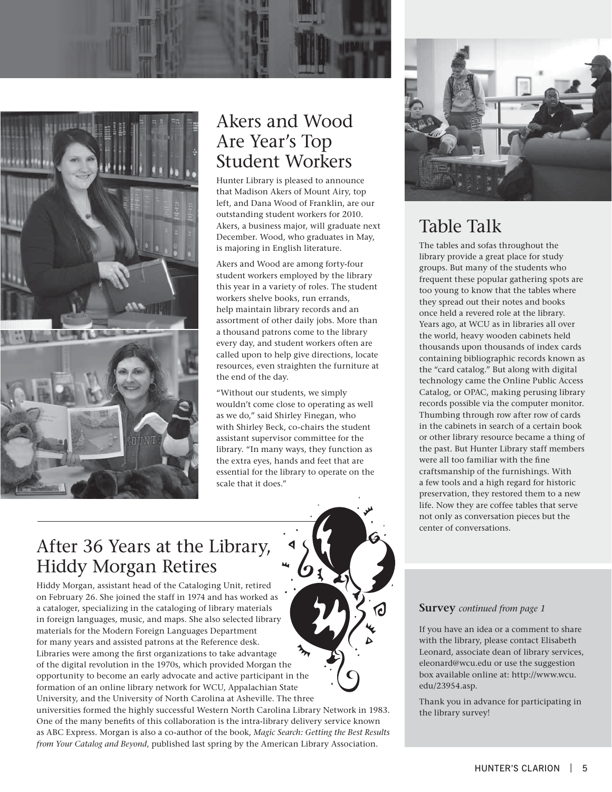

# Akers and Wood Are Year's Top Student Workers

Hunter Library is pleased to announce that Madison Akers of Mount Airy, top left, and Dana Wood of Franklin, are our outstanding student workers for 2010. Akers, a business major, will graduate next December. Wood, who graduates in May, is majoring in English literature.

Akers and Wood are among forty-four student workers employed by the library this year in a variety of roles. The student workers shelve books, run errands, help maintain library records and an assortment of other daily jobs. More than a thousand patrons come to the library every day, and student workers often are called upon to help give directions, locate resources, even straighten the furniture at the end of the day.

"Without our students, we simply wouldn't come close to operating as well as we do," said Shirley Finegan, who with Shirley Beck, co-chairs the student assistant supervisor committee for the library. "In many ways, they function as the extra eyes, hands and feet that are essential for the library to operate on the scale that it does."

## After 36 Years at the Library, Hiddy Morgan Retires

Hiddy Morgan, assistant head of the Cataloging Unit, retired on February 26. She joined the staff in 1974 and has worked as a cataloger, specializing in the cataloging of library materials in foreign languages, music, and maps. She also selected library materials for the Modern Foreign Languages Department for many years and assisted patrons at the Reference desk. Libraries were among the first organizations to take advantage of the digital revolution in the 1970s, which provided Morgan the opportunity to become an early advocate and active participant in the formation of an online library network for WCU, Appalachian State University, and the University of North Carolina at Asheville. The three

universities formed the highly successful Western North Carolina Library Network in 1983. One of the many benefits of this collaboration is the intra-library delivery service known as ABC Express. Morgan is also a co-author of the book, *Magic Search: Getting the Best Results from Your Catalog and Beyond*, published last spring by the American Library Association.



# Table Talk

The tables and sofas throughout the library provide a great place for study groups. But many of the students who frequent these popular gathering spots are too young to know that the tables where they spread out their notes and books once held a revered role at the library. Years ago, at WCU as in libraries all over the world, heavy wooden cabinets held thousands upon thousands of index cards containing bibliographic records known as the "card catalog." But along with digital technology came the Online Public Access Catalog, or OPAC, making perusing library records possible via the computer monitor. Thumbing through row after row of cards in the cabinets in search of a certain book or other library resource became a thing of the past. But Hunter Library staff members were all too familiar with the fine craftsmanship of the furnishings. With a few tools and a high regard for historic preservation, they restored them to a new life. Now they are coffee tables that serve not only as conversation pieces but the center of conversations.

#### **Survey** *continued from page 1*

If you have an idea or a comment to share with the library, please contact Elisabeth Leonard, associate dean of library services, eleonard@wcu.edu or use the suggestion box available online at: http://www.wcu. edu/23954.asp.

Thank you in advance for participating in the library survey!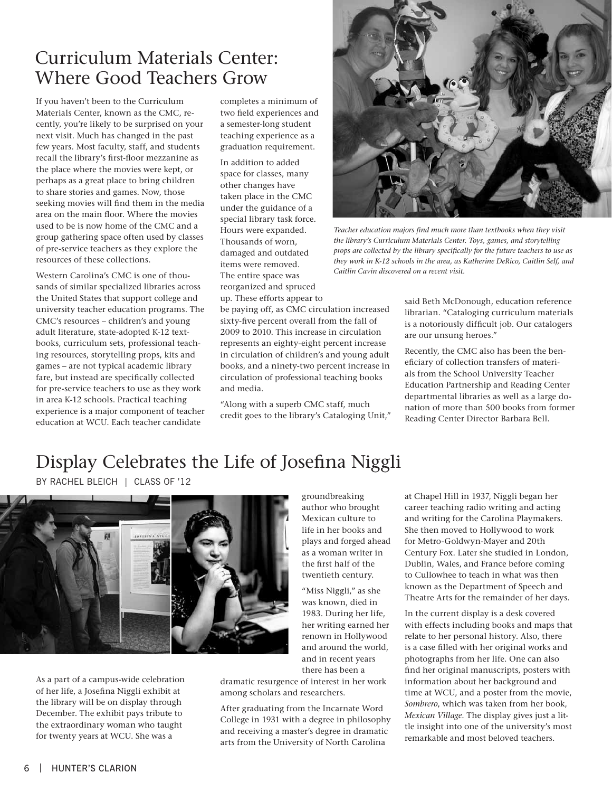### Curriculum Materials Center: Where Good Teachers Grow

If you haven't been to the Curriculum Materials Center, known as the CMC, recently, you're likely to be surprised on your next visit. Much has changed in the past few years. Most faculty, staff, and students recall the library's first-floor mezzanine as the place where the movies were kept, or perhaps as a great place to bring children to share stories and games. Now, those seeking movies will find them in the media area on the main floor. Where the movies used to be is now home of the CMC and a group gathering space often used by classes of pre-service teachers as they explore the resources of these collections.

Western Carolina's CMC is one of thousands of similar specialized libraries across the United States that support college and university teacher education programs. The CMC's resources – children's and young adult literature, state-adopted K-12 textbooks, curriculum sets, professional teaching resources, storytelling props, kits and games – are not typical academic library fare, but instead are specifically collected for pre-service teachers to use as they work in area K-12 schools. Practical teaching experience is a major component of teacher education at WCU. Each teacher candidate

completes a minimum of two field experiences and a semester-long student teaching experience as a graduation requirement.

In addition to added space for classes, many other changes have taken place in the CMC under the guidance of a special library task force. Hours were expanded. Thousands of worn, damaged and outdated items were removed. The entire space was reorganized and spruced up. These efforts appear to

be paying off, as CMC circulation increased sixty-five percent overall from the fall of 2009 to 2010. This increase in circulation represents an eighty-eight percent increase in circulation of children's and young adult books, and a ninety-two percent increase in circulation of professional teaching books and media.

"Along with a superb CMC staff, much credit goes to the library's Cataloging Unit,"



*Teacher education majors find much more than textbooks when they visit the library's Curriculum Materials Center. Toys, games, and storytelling props are collected by the library specifically for the future teachers to use as they work in K-12 schools in the area, as Katherine DeRico, Caitlin Self, and Caitlin Cavin discovered on a recent visit.*

said Beth McDonough, education reference librarian. "Cataloging curriculum materials is a notoriously difficult job. Our catalogers are our unsung heroes."

Recently, the CMC also has been the beneficiary of collection transfers of materials from the School University Teacher Education Partnership and Reading Center departmental libraries as well as a large donation of more than 500 books from former Reading Center Director Barbara Bell.

## Display Celebrates the Life of Josefina Niggli

By Rachel Bleich | Class of '12



As a part of a campus-wide celebration of her life, a Josefina Niggli exhibit at the library will be on display through December. The exhibit pays tribute to the extraordinary woman who taught for twenty years at WCU. She was a

groundbreaking author who brought Mexican culture to life in her books and plays and forged ahead as a woman writer in the first half of the twentieth century.

"Miss Niggli," as she was known, died in 1983. During her life, her writing earned her renown in Hollywood and around the world, and in recent years there has been a

dramatic resurgence of interest in her work among scholars and researchers.

After graduating from the Incarnate Word College in 1931 with a degree in philosophy and receiving a master's degree in dramatic arts from the University of North Carolina

at Chapel Hill in 1937, Niggli began her career teaching radio writing and acting and writing for the Carolina Playmakers. She then moved to Hollywood to work for Metro-Goldwyn-Mayer and 20th Century Fox. Later she studied in London, Dublin, Wales, and France before coming to Cullowhee to teach in what was then known as the Department of Speech and Theatre Arts for the remainder of her days.

In the current display is a desk covered with effects including books and maps that relate to her personal history. Also, there is a case filled with her original works and photographs from her life. One can also find her original manuscripts, posters with information about her background and time at WCU, and a poster from the movie, *Sombrero*, which was taken from her book, *Mexican Village*. The display gives just a little insight into one of the university's most remarkable and most beloved teachers.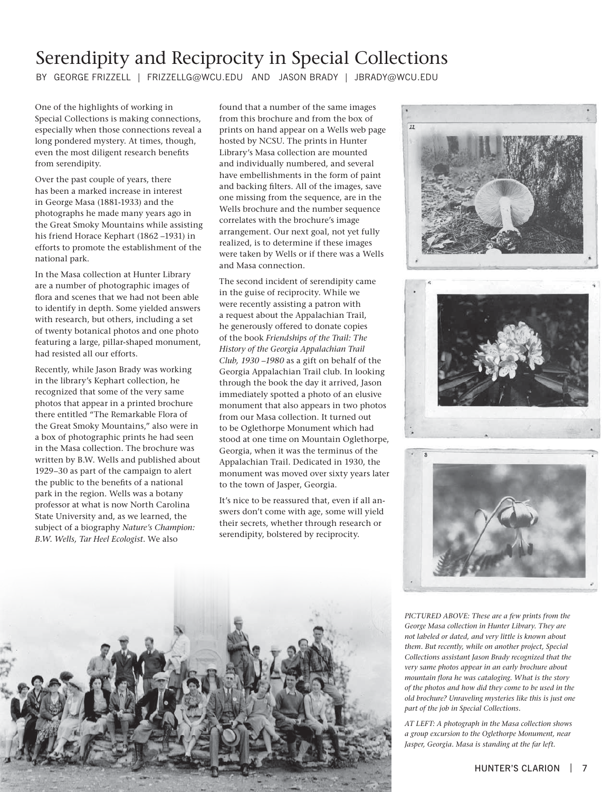# Serendipity and Reciprocity in Special Collections

By George Frizzell | frizzellg@wcu.edu AND Jason Brady | jbrady@wcu.edu

One of the highlights of working in Special Collections is making connections, especially when those connections reveal a long pondered mystery. At times, though, even the most diligent research benefits from serendipity.

Over the past couple of years, there has been a marked increase in interest in George Masa (1881-1933) and the photographs he made many years ago in the Great Smoky Mountains while assisting his friend Horace Kephart (1862 –1931) in efforts to promote the establishment of the national park.

In the Masa collection at Hunter Library are a number of photographic images of flora and scenes that we had not been able to identify in depth. Some yielded answers with research, but others, including a set of twenty botanical photos and one photo featuring a large, pillar-shaped monument, had resisted all our efforts.

Recently, while Jason Brady was working in the library's Kephart collection, he recognized that some of the very same photos that appear in a printed brochure there entitled "The Remarkable Flora of the Great Smoky Mountains," also were in a box of photographic prints he had seen in the Masa collection. The brochure was written by B.W. Wells and published about 1929–30 as part of the campaign to alert the public to the benefits of a national park in the region. Wells was a botany professor at what is now North Carolina State University and, as we learned, the subject of a biography *Nature's Champion: B.W. Wells, Tar Heel Ecologist*. We also

found that a number of the same images from this brochure and from the box of prints on hand appear on a Wells web page hosted by NCSU. The prints in Hunter Library's Masa collection are mounted and individually numbered, and several have embellishments in the form of paint and backing filters. All of the images, save one missing from the sequence, are in the Wells brochure and the number sequence correlates with the brochure's image arrangement. Our next goal, not yet fully realized, is to determine if these images were taken by Wells or if there was a Wells and Masa connection.

The second incident of serendipity came in the guise of reciprocity. While we were recently assisting a patron with a request about the Appalachian Trail, he generously offered to donate copies of the book *Friendships of the Trail: The History of the Georgia Appalachian Trail Club, 1930 –1980* as a gift on behalf of the Georgia Appalachian Trail club. In looking through the book the day it arrived, Jason immediately spotted a photo of an elusive monument that also appears in two photos from our Masa collection. It turned out to be Oglethorpe Monument which had stood at one time on Mountain Oglethorpe, Georgia, when it was the terminus of the Appalachian Trail. Dedicated in 1930, the monument was moved over sixty years later to the town of Jasper, Georgia.

It's nice to be reassured that, even if all answers don't come with age, some will yield their secrets, whether through research or serendipity, bolstered by reciprocity.



*PICTURED ABOVE: These are a few prints from the George Masa collection in Hunter Library. They are not labeled or dated, and very little is known about them. But recently, while on another project, Special Collections assistant Jason Brady recognized that the very same photos appear in an early brochure about mountain flora he was cataloging. What is the story of the photos and how did they come to be used in the old brochure? Unraveling mysteries like this is just one part of the job in Special Collections.*

*AT LEFT: A photograph in the Masa collection shows a group excursion to the Oglethorpe Monument, near Jasper, Georgia. Masa is standing at the far left.*